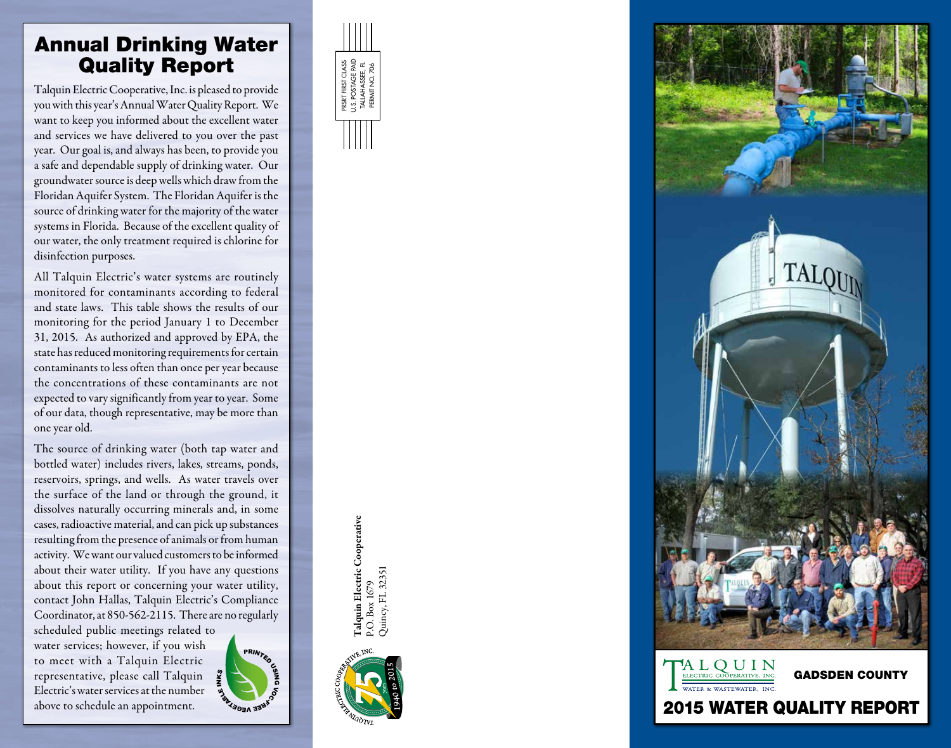## Annual Drinking Water Quality Report

Talquin Electric Cooperative, Inc. is pleased to provide you with this year's Annual Water Quality Report. We want to keep you informed about the excellent water and services we have delivered to you over the past year. Our goal is, and always has been, to provide you a safe and dependable supply of drinking water. Our groundwater source is deep wells which draw from the Floridan Aquifer System. The Floridan Aquifer is the source of drinking water for the majority of the water systems in Florida. Because of the excellent quality of our water, the only treatment required is chlorine for disinfection purposes.

All Talquin Electric's water systems are routinely monitored for contaminants according to federal and state laws. This table shows the results of our monitoring for the period January 1 to December 31, 2015. As authorized and approved by EPA, the state has reduced monitoring requirements for certain contaminants to less often than once per year because the concentrations of these contaminants are not expected to vary significantly from year to year. Some of our data, though representative, may be more than one year old.

The source of drinking water (both tap water and bottled water) includes rivers, lakes, streams, ponds, reservoirs, springs, and wells. As water travels over the surface of the land or through the ground, it dissolves naturally occurring minerals and, in some cases, radioactive material, and can pick up substances resulting from the presence of animals or from human activity. We want our valued customers to be informed about their water utility. If you have any questions about this report or concerning your water utility, contact John Hallas, Talquin Electric's Compliance Coordinator, at 850-562-2115. There are no regularly

scheduled public meetings related to water services; however, if you wish to meet with a Talquin Electric representative, please call Talquin Electric's water services at the number above to schedule an appointment.











## 2015 WATER QUALITY REPORT

Talquin Electric Cooperative Talquin Electric Cooperative Quincy, FL 32351 Quincy, FL 32351 P.O. Box 1679 P.O. Box 1679